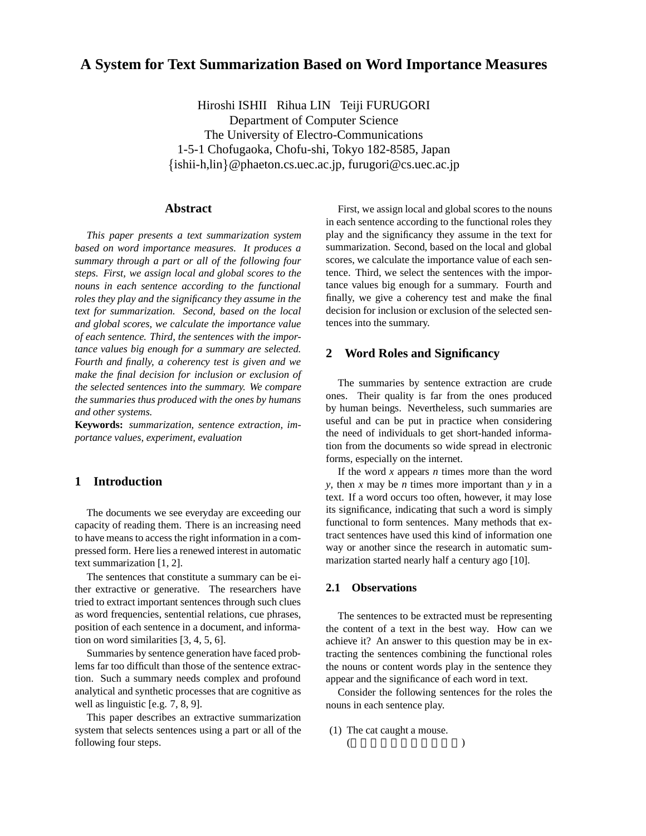# **A System for Text Summarization Based on Word Importance Measures**

Hiroshi ISHII Rihua LIN Teiji FURUGORI Department of Computer Science The University of Electro-Communications 1-5-1 Chofugaoka, Chofu-shi, Tokyo 182-8585, Japan  $\{\nexists n\}$  =  $\emptyset$  phaeton.cs.uec.ac.jp, furugori  $\emptyset$  cs.uec.ac.jp

## **Abstract**

*This paper presents a text summarization system based on word importance measures. It produces a summary through a part or all of the following four steps. First, we assign local and global scores to the nouns in each sentence according to the functional roles they play and the significancy they assume in the text for summarization. Second, based on the local and global scores, we calculate the importance value of each sentence. Third, the sentences with the importance values big enough for a summary are selected. Fourth and finally, a coherency test is given and we make the final decision for inclusion or exclusion of the selected sentences into the summary. We compare the summaries thus produced with the ones by humans and other systems.*

**Keywords:** *summarization, sentence extraction, importance values, experiment, evaluation*

# **1 Introduction**

The documents we see everyday are exceeding our capacity of reading them. There is an increasing need to have means to access the right information in a compressed form. Here lies a renewed interest in automatic text summarization [1, 2].

The sentences that constitute a summary can be either extractive or generative. The researchers have tried to extract important sentences through such clues as word frequencies, sentential relations, cue phrases, position of each sentence in a document, and information on word similarities [3, 4, 5, 6].

Summaries by sentence generation have faced problems far too difficult than those of the sentence extraction. Such a summary needs complex and profound analytical and synthetic processes that are cognitive as well as linguistic [e.g. 7, 8, 9].

This paper describes an extractive summarization system that selects sentences using a part or all of the following four steps.

First, we assign local and global scores to the nouns in each sentence according to the functional roles they play and the significancy they assume in the text for summarization. Second, based on the local and global scores, we calculate the importance value of each sentence. Third, we select the sentences with the importance values big enough for a summary. Fourth and finally, we give a coherency test and make the final decision for inclusion or exclusion of the selected sentences into the summary.

# **2 Word Roles and Significancy**

The summaries by sentence extraction are crude ones. Their quality is far from the ones produced by human beings. Nevertheless, such summaries are useful and can be put in practice when considering the need of individuals to get short-handed information from the documents so wide spread in electronic forms, especially on the internet.

If the word *x* appears *n* times more than the word *y*, then *x* may be *n* times more important than *y* in a text. If a word occurs too often, however, it may lose its significance, indicating that such a word is simply functional to form sentences. Many methods that extract sentences have used this kind of information one way or another since the research in automatic summarization started nearly half a century ago [10].

### **2.1 Observations**

The sentences to be extracted must be representing the content of a text in the best way. How can we achieve it? An answer to this question may be in extracting the sentences combining the functional roles the nouns or content words play in the sentence they appear and the significance of each word in text.

Consider the following sentences for the roles the nouns in each sentence play.

(1) The cat caught a mouse. (as a set of  $\overline{a}$ )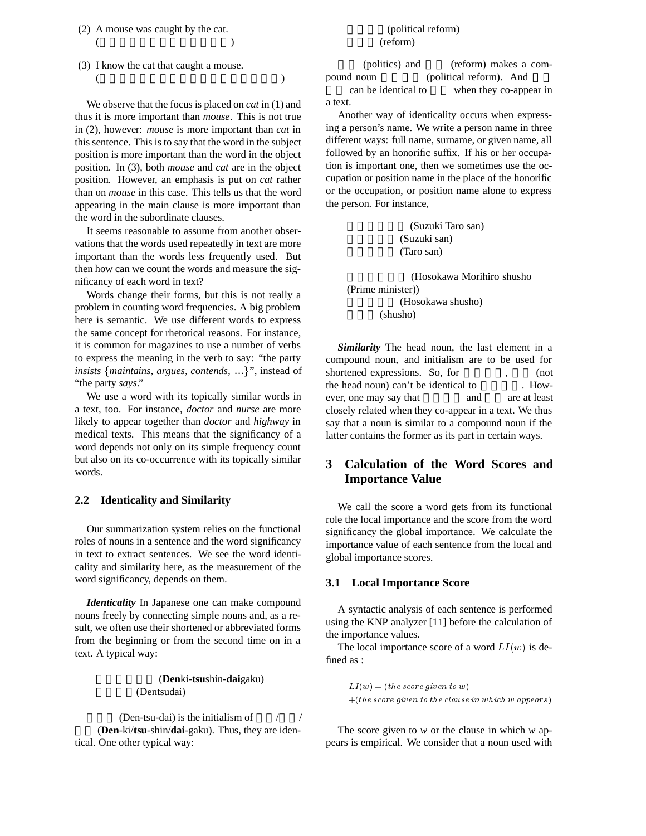- (2) A mouse was caught by the cat. (a) and  $\overline{a}$  (a) and  $\overline{a}$  and  $\overline{a}$  and  $\overline{a}$  and  $\overline{a}$  and  $\overline{a}$  and  $\overline{a}$  and  $\overline{a}$  and  $\overline{a}$  and  $\overline{a}$  and  $\overline{a}$  and  $\overline{a}$  and  $\overline{a}$  and  $\overline{a}$  and  $\overline{a}$  and  $\overline{a}$  and
- (3) I know the cat that caught a mouse. (and  $\overline{a}$ )

We observe that the focus is placed on *cat* in (1) and thus it is more important than *mouse*. This is not true in (2), however: *mouse* is more important than *cat* in this sentence. This is to say that the word in the subject position is more important than the word in the object position. In (3), both *mouse* and *cat* are in the object position. However, an emphasis is put on *cat* rather than on *mouse* in this case. This tells us that the word appearing in the main clause is more important than the word in the subordinate clauses.

It seems reasonable to assume from another observations that the words used repeatedly in text are more important than the words less frequently used. But then how can we count the words and measure the significancy of each word in text?

Words change their forms, but this is not really a problem in counting word frequencies. A big problem here is semantic. We use different words to express the same concept for rhetorical reasons. For instance, it is common for magazines to use a number of verbs to express the meaning in the verb to say: "the party *insists* {*maintains, argues, contends, ...*}", instead of "the party *says*."

We use a word with its topically similar words in a text, too. For instance, *doctor* and *nurse* are more likely to appear together than *doctor* and *highway* in medical texts. This means that the significancy of a word depends not only on its simple frequency count but also on its co-occurrence with its topically similar words.

### **2.2 Identicality and Similarity**

Our summarization system relies on the functional roles of nouns in a sentence and the word significancy in text to extract sentences. We see the word identicality and similarity here, as the measurement of the word significancy, depends on them.

*Identicality* In Japanese one can make compound nouns freely by connecting simple nouns and, as a result, we often use their shortened or abbreviated forms from the beginning or from the second time on in a text. A typical way:

> (**Den**ki-**tsu**shin-**dai**gaku) (Dentsudai)

(Den-tsu-dai) is the initialism of  $\frac{1}{2}$ 大学 (**Den**-ki/**tsu**-shin/**dai**-gaku). Thus, they are identical. One other typical way:

## (political reform) (reform)

(politics) and (reform) makes a compound noun (political reform). And can be identical to when they co-appear in

a text.

Another way of identicality occurs when expressing a person's name. We write a person name in three different ways: full name, surname, or given name, all followed by an honorific suffix. If his or her occupation is important one, then we sometimes use the occupation or position name in the place of the honorific or the occupation, or position name alone to express the person. For instance,

> (Suzuki Taro san) (Suzuki san) (Taro san)

(Hosokawa Morihiro shusho (Prime minister)) (Hosokawa shusho) (shusho)

*Similarity* The head noun, the last element in a compound noun, and initialism are to be used for shortened expressions. So, for (not the head noun) can't be identical to  $\sim$  However, one may say that and are at least closely related when they co-appear in a text. We thus say that a noun is similar to a compound noun if the latter contains the former as its part in certain ways.

# **3 Calculation of the Word Scores and Importance Value**

We call the score a word gets from its functional role the local importance and the score from the word significancy the global importance. We calculate the importance value of each sentence from the local and global importance scores.

### **3.1 Local Importance Score**

A syntactic analysis of each sentence is performed using the KNP analyzer [11] before the calculation of the importance values.

The local importance score of a word  $LI(w)$  is defined as :

 $LI(w)=(the score given to w)$  $+(the score given to the clause in which w appears)$ 

The score given to *w* or the clause in which *w* appears is empirical. We consider that a noun used with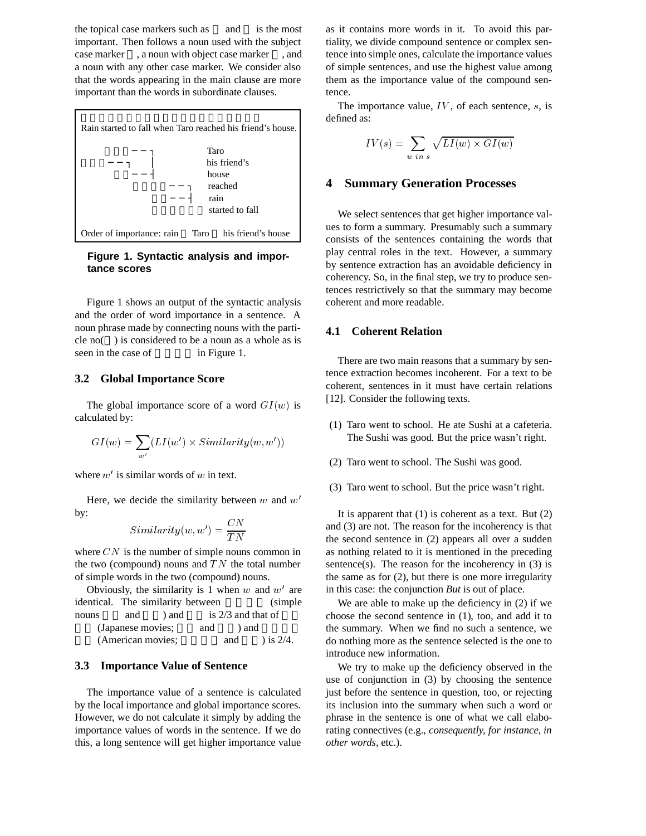the topical case markers such as and is the most important. Then follows a noun used with the subject case marker , a noun with object case marker , and a noun with any other case marker. We consider also that the words appearing in the main clause are more important than the words in subordinate clauses.



**Figure 1. Syntactic analysis and importance scores**

Figure 1 shows an output of the syntactic analysis and the order of word importance in a sentence. A noun phrase made by connecting nouns with the particle no( ) is considered to be a noun as a whole as is seen in the case of in Figure 1.

#### **3.2 Global Importance Score**

The global importance score of a word  $GI(w)$  is calculated by:

$$
GI(w) = \sum_{w'} (LI(w') \times Similarity(w, w'))
$$

where  $w'$  is similar words of  $w$  in text.

Here, we decide the similarity between  $w$  and  $w'$ by:

$$
Similarity(w,w') = \frac{CN}{TN}
$$

where  $CN$  is the number of simple nouns common in the two (compound) nouns and  $TN$  the total number of simple words in the two (compound) nouns.

Obviously, the similarity is 1 when  $w$  and  $w'$  are identical. The similarity between (simple nouns and  $\theta$  and is 2/3 and that of (Japanese movies; and ) and  $(American movies; \t and \t) is 2/4.$ 

### **3.3 Importance Value of Sentence**

The importance value of a sentence is calculated by the local importance and global importance scores. However, we do not calculate it simply by adding the importance values of words in the sentence. If we do this, a long sentence will get higher importance value

as it contains more words in it. To avoid this partiality, we divide compound sentence or complex sentence into simple ones, calculate the importance values of simple sentences, and use the highest value among them as the importance value of the compound sentence.

The importance value,  $IV$ , of each sentence,  $s$ , is defined as:

$$
IV(s) = \sum_{w \ in \ s} \sqrt{LI(w) \times GI(w)}
$$

#### **4 Summary Generation Processes**

We select sentences that get higher importance values to form a summary. Presumably such a summary consists of the sentences containing the words that play central roles in the text. However, a summary by sentence extraction has an avoidable deficiency in coherency. So, in the final step, we try to produce sentences restrictively so that the summary may become coherent and more readable.

## **4.1 Coherent Relation**

There are two main reasons that a summary by sentence extraction becomes incoherent. For a text to be coherent, sentences in it must have certain relations [12]. Consider the following texts.

- (1) Taro went to school. He ate Sushi at a cafeteria. The Sushi was good. But the price wasn't right.
- (2) Taro went to school. The Sushi was good.
- (3) Taro went to school. But the price wasn't right.

It is apparent that  $(1)$  is coherent as a text. But  $(2)$ and (3) are not. The reason for the incoherency is that the second sentence in (2) appears all over a sudden as nothing related to it is mentioned in the preceding sentence(s). The reason for the incoherency in  $(3)$  is the same as for (2), but there is one more irregularity in this case: the conjunction *But* is out of place.

We are able to make up the deficiency in (2) if we choose the second sentence in (1), too, and add it to the summary. When we find no such a sentence, we do nothing more as the sentence selected is the one to introduce new information.

We try to make up the deficiency observed in the use of conjunction in (3) by choosing the sentence just before the sentence in question, too, or rejecting its inclusion into the summary when such a word or phrase in the sentence is one of what we call elaborating connectives (e.g., *consequently, for instance, in other words,* etc.).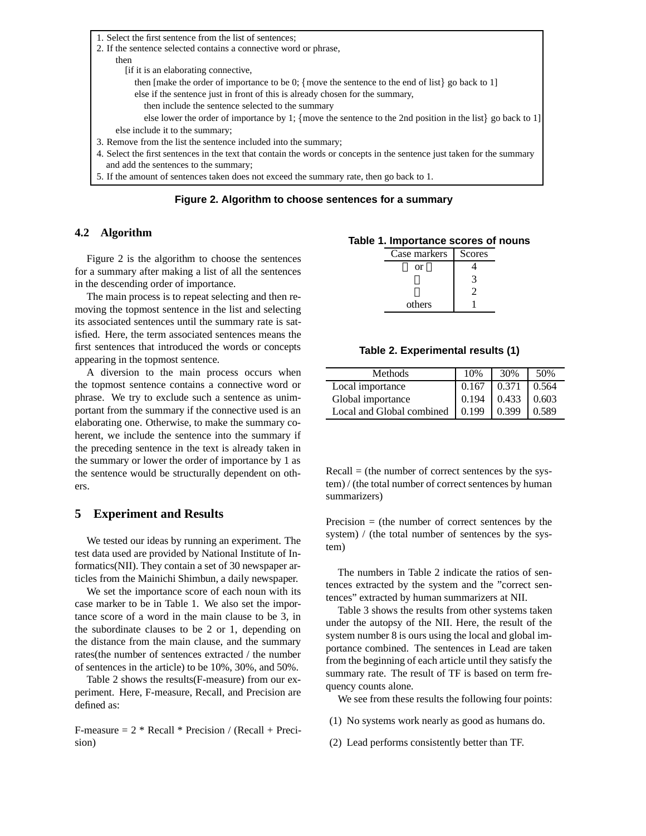1. Select the first sentence from the list of sentences;

- 2. If the sentence selected contains a connective word or phrase,
	- then [if it is an elaborating connective,

then [make the order of importance to be 0; {move the sentence to the end of list} go back to 1]

- else if the sentence just in front of this is already chosen for the summary,
	- then include the sentence selected to the summary

else lower the order of importance by 1; {move the sentence to the 2nd position in the list} go back to 1] else include it to the summary;

- 3. Remove from the list the sentence included into the summary;
- 4. Select the first sentences in the text that contain the words or concepts in the sentence just taken for the summary and add the sentences to the summary;
- 5. If the amount of sentences taken does not exceed the summary rate, then go back to 1.

**Figure 2. Algorithm to choose sentences for a summary**

### **4.2 Algorithm**

Figure 2 is the algorithm to choose the sentences for a summary after making a list of all the sentences in the descending order of importance.

The main process is to repeat selecting and then removing the topmost sentence in the list and selecting its associated sentences until the summary rate is satisfied. Here, the term associated sentences means the first sentences that introduced the words or concepts appearing in the topmost sentence.

A diversion to the main process occurs when the topmost sentence contains a connective word or phrase. We try to exclude such a sentence as unimportant from the summary if the connective used is an elaborating one. Otherwise, to make the summary coherent, we include the sentence into the summary if the preceding sentence in the text is already taken in the summary or lower the order of importance by 1 as the sentence would be structurally dependent on others.

# **5 Experiment and Results**

We tested our ideas by running an experiment. The test data used are provided by National Institute of Informatics(NII). They contain a set of 30 newspaper articles from the Mainichi Shimbun, a daily newspaper.

We set the importance score of each noun with its case marker to be in Table 1. We also set the importance score of a word in the main clause to be 3, in the subordinate clauses to be 2 or 1, depending on the distance from the main clause, and the summary rates(the number of sentences extracted / the number of sentences in the article) to be 10%, 30%, and 50%.

Table 2 shows the results(F-measure) from our experiment. Here, F-measure, Recall, and Precision are defined as:

F-measure  $= 2 * Recall * Precision / (Recall + Preci$ sion)

#### **Table 1. Importance scores of nouns**

| Case markers | Scores |
|--------------|--------|
| or           |        |
|              |        |
|              |        |
| others       |        |

**Table 2. Experimental results (1)**

| Methods                   | 10%   | 30%                 | 50%    |
|---------------------------|-------|---------------------|--------|
| Local importance          | 0.167 | 0.371               | 10.564 |
| Global importance         |       | $0.194$ 0.433 0.603 |        |
| Local and Global combined | 0.199 | 0.399               | 0.589  |

 $Recall =$  (the number of correct sentences by the system) / (the total number of correct sentences by human summarizers)

Precision  $=$  (the number of correct sentences by the system) / (the total number of sentences by the system)

The numbers in Table 2 indicate the ratios of sentences extracted by the system and the "correct sentences" extracted by human summarizers at NII.

Table 3 shows the results from other systems taken under the autopsy of the NII. Here, the result of the system number 8 is ours using the local and global importance combined. The sentences in Lead are taken from the beginning of each article until they satisfy the summary rate. The result of TF is based on term frequency counts alone.

We see from these results the following four points:

- (1) No systems work nearly as good as humans do.
- (2) Lead performs consistently better than TF.